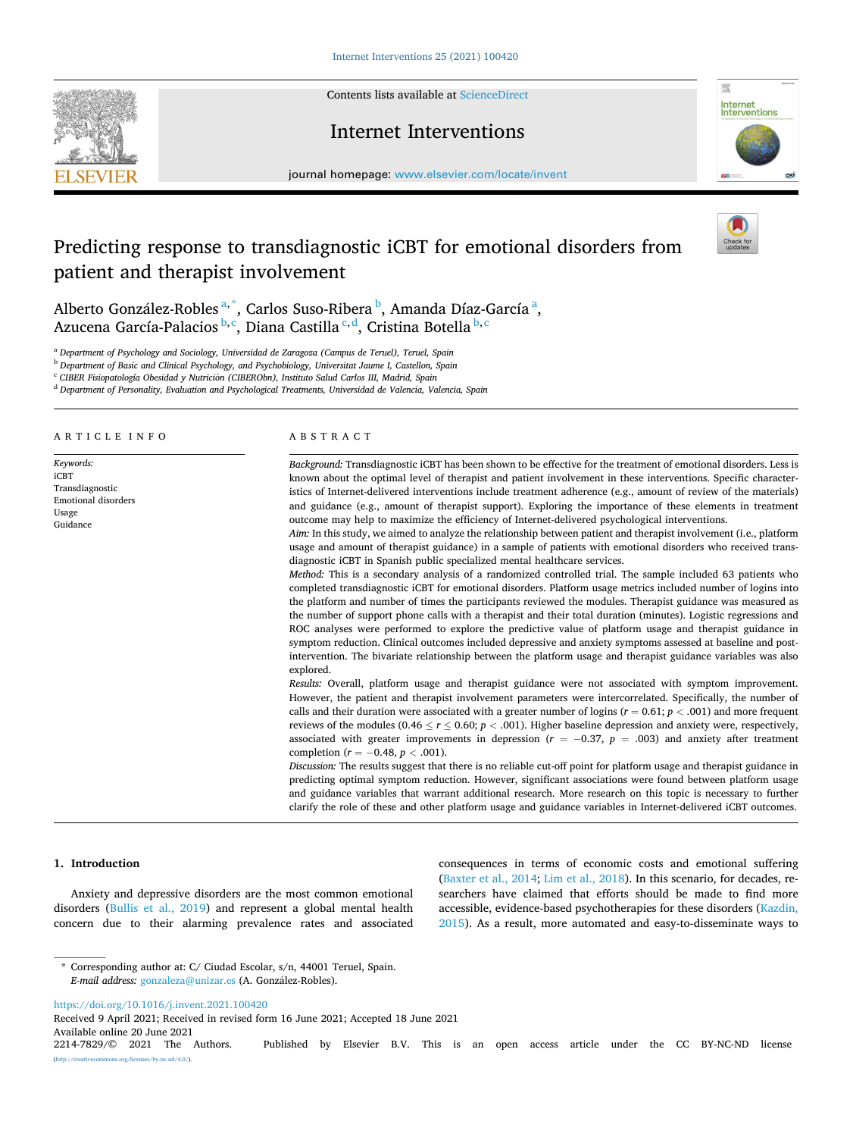Contents lists available at [ScienceDirect](www.sciencedirect.com/science/journal/22147829)



Internet Interventions



journal homepage: [www.elsevier.com/locate/invent](https://www.elsevier.com/locate/invent)

# Predicting response to transdiagnostic iCBT for emotional disorders from patient and therapist involvement



Alberto González-Robles<sup>a,\*</sup>, Carlos Suso-Ribera <sup>b</sup>, Amanda Díaz-García<sup>a</sup>, Azucena García-Palacios<sup> b, c</sup>, Diana Castilla <sup>c, d</sup>, Cristina Botella <sup>b, c</sup>

<sup>a</sup> *Department of Psychology and Sociology, Universidad de Zaragoza (Campus de Teruel), Teruel, Spain* 

<sup>b</sup> *Department of Basic and Clinical Psychology, and Psychobiology, Universitat Jaume I, Castellon, Spain* 

<sup>c</sup> CIBER Fisiopatología Obesidad y Nutrición (CIBERObn), Instituto Salud Carlos III, Madrid, Spain

<sup>d</sup> *Department of Personality, Evaluation and Psychological Treatments, Universidad de Valencia, Valencia, Spain* 

# ARTICLE INFO

*Keywords:*  iCBT Transdiagnostic Emotional disorders Usage Guidance

# ABSTRACT

*Background:* Transdiagnostic iCBT has been shown to be effective for the treatment of emotional disorders. Less is known about the optimal level of therapist and patient involvement in these interventions. Specific characteristics of Internet-delivered interventions include treatment adherence (e.g., amount of review of the materials) and guidance (e.g., amount of therapist support). Exploring the importance of these elements in treatment outcome may help to maximize the efficiency of Internet-delivered psychological interventions.

*Aim:* In this study, we aimed to analyze the relationship between patient and therapist involvement (i.e., platform usage and amount of therapist guidance) in a sample of patients with emotional disorders who received transdiagnostic iCBT in Spanish public specialized mental healthcare services.

*Method:* This is a secondary analysis of a randomized controlled trial. The sample included 63 patients who completed transdiagnostic iCBT for emotional disorders. Platform usage metrics included number of logins into the platform and number of times the participants reviewed the modules. Therapist guidance was measured as the number of support phone calls with a therapist and their total duration (minutes). Logistic regressions and ROC analyses were performed to explore the predictive value of platform usage and therapist guidance in symptom reduction. Clinical outcomes included depressive and anxiety symptoms assessed at baseline and postintervention. The bivariate relationship between the platform usage and therapist guidance variables was also explored.

*Results:* Overall, platform usage and therapist guidance were not associated with symptom improvement. However, the patient and therapist involvement parameters were intercorrelated. Specifically, the number of calls and their duration were associated with a greater number of logins  $(r = 0.61; p < .001)$  and more frequent reviews of the modules (0.46  $\le$  *r*  $\le$  0.60; *p* < .001). Higher baseline depression and anxiety were, respectively, associated with greater improvements in depression  $(r = -0.37, p = .003)$  and anxiety after treatment completion (*r* = − 0.48, *p <* .001).

*Discussion:* The results suggest that there is no reliable cut-off point for platform usage and therapist guidance in predicting optimal symptom reduction. However, significant associations were found between platform usage and guidance variables that warrant additional research. More research on this topic is necessary to further clarify the role of these and other platform usage and guidance variables in Internet-delivered iCBT outcomes.

## **1. Introduction**

Anxiety and depressive disorders are the most common emotional disorders ([Bullis et al., 2019\)](#page-7-0) and represent a global mental health concern due to their alarming prevalence rates and associated consequences in terms of economic costs and emotional suffering ([Baxter et al., 2014](#page-7-0); [Lim et al., 2018](#page-7-0)). In this scenario, for decades, researchers have claimed that efforts should be made to find more accessible, evidence-based psychotherapies for these disorders [\(Kazdin,](#page-7-0)  [2015\)](#page-7-0). As a result, more automated and easy-to-disseminate ways to

<https://doi.org/10.1016/j.invent.2021.100420>

Received 9 April 2021; Received in revised form 16 June 2021; Accepted 18 June 2021

<sup>\*</sup> Corresponding author at: C/ Ciudad Escolar, s/n, 44001 Teruel, Spain. *E-mail address:* [gonzaleza@unizar.es](mailto:gonzaleza@unizar.es) (A. Gonzalez-Robles). ´

Available online 20 June 2021<br>2214-7829/© 2021 The Authors. Published by Elsevier B.V. This is an open access article under the CC BY-NC-ND license  $\frac{\text{uses}}{\text{by-nc-nd}/4.0}$ .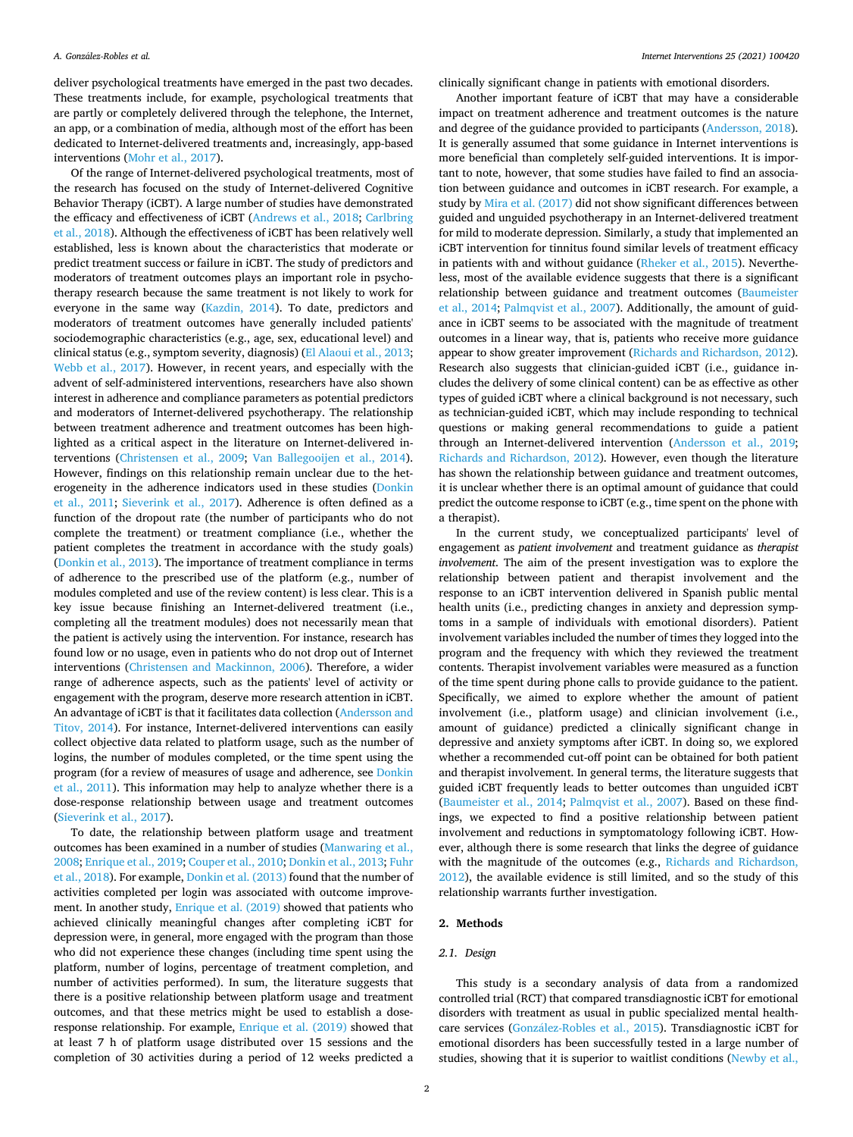deliver psychological treatments have emerged in the past two decades. These treatments include, for example, psychological treatments that are partly or completely delivered through the telephone, the Internet, an app, or a combination of media, although most of the effort has been dedicated to Internet-delivered treatments and, increasingly, app-based interventions [\(Mohr et al., 2017](#page-7-0)).

Of the range of Internet-delivered psychological treatments, most of the research has focused on the study of Internet-delivered Cognitive Behavior Therapy (iCBT). A large number of studies have demonstrated the efficacy and effectiveness of iCBT [\(Andrews et al., 2018; Carlbring](#page-7-0)  [et al., 2018\)](#page-7-0). Although the effectiveness of iCBT has been relatively well established, less is known about the characteristics that moderate or predict treatment success or failure in iCBT. The study of predictors and moderators of treatment outcomes plays an important role in psychotherapy research because the same treatment is not likely to work for everyone in the same way ([Kazdin, 2014](#page-7-0)). To date, predictors and moderators of treatment outcomes have generally included patients' sociodemographic characteristics (e.g., age, sex, educational level) and clinical status (e.g., symptom severity, diagnosis) ([El Alaoui et al., 2013](#page-7-0); [Webb et al., 2017\)](#page-8-0). However, in recent years, and especially with the advent of self-administered interventions, researchers have also shown interest in adherence and compliance parameters as potential predictors and moderators of Internet-delivered psychotherapy. The relationship between treatment adherence and treatment outcomes has been highlighted as a critical aspect in the literature on Internet-delivered interventions ([Christensen et al., 2009;](#page-7-0) [Van Ballegooijen et al., 2014](#page-8-0)). However, findings on this relationship remain unclear due to the heterogeneity in the adherence indicators used in these studies [\(Donkin](#page-7-0)  [et al., 2011;](#page-7-0) [Sieverink et al., 2017](#page-7-0)). Adherence is often defined as a function of the dropout rate (the number of participants who do not complete the treatment) or treatment compliance (i.e., whether the patient completes the treatment in accordance with the study goals) ([Donkin et al., 2013\)](#page-7-0). The importance of treatment compliance in terms of adherence to the prescribed use of the platform (e.g., number of modules completed and use of the review content) is less clear. This is a key issue because finishing an Internet-delivered treatment (i.e., completing all the treatment modules) does not necessarily mean that the patient is actively using the intervention. For instance, research has found low or no usage, even in patients who do not drop out of Internet interventions [\(Christensen and Mackinnon, 2006](#page-7-0)). Therefore, a wider range of adherence aspects, such as the patients' level of activity or engagement with the program, deserve more research attention in iCBT. An advantage of iCBT is that it facilitates data collection [\(Andersson and](#page-7-0)  [Titov, 2014](#page-7-0)). For instance, Internet-delivered interventions can easily collect objective data related to platform usage, such as the number of logins, the number of modules completed, or the time spent using the program (for a review of measures of usage and adherence, see [Donkin](#page-7-0)  [et al., 2011](#page-7-0)). This information may help to analyze whether there is a dose-response relationship between usage and treatment outcomes ([Sieverink et al., 2017](#page-7-0)).

To date, the relationship between platform usage and treatment outcomes has been examined in a number of studies ([Manwaring et al.,](#page-7-0)  [2008; Enrique et al., 2019; Couper et al., 2010; Donkin et al., 2013](#page-7-0); [Fuhr](#page-7-0)  [et al., 2018](#page-7-0)). For example, [Donkin et al. \(2013\)](#page-7-0) found that the number of activities completed per login was associated with outcome improvement. In another study, [Enrique et al. \(2019\)](#page-7-0) showed that patients who achieved clinically meaningful changes after completing iCBT for depression were, in general, more engaged with the program than those who did not experience these changes (including time spent using the platform, number of logins, percentage of treatment completion, and number of activities performed). In sum, the literature suggests that there is a positive relationship between platform usage and treatment outcomes, and that these metrics might be used to establish a doseresponse relationship. For example, [Enrique et al. \(2019\)](#page-7-0) showed that at least 7 h of platform usage distributed over 15 sessions and the completion of 30 activities during a period of 12 weeks predicted a

clinically significant change in patients with emotional disorders.

Another important feature of iCBT that may have a considerable impact on treatment adherence and treatment outcomes is the nature and degree of the guidance provided to participants ([Andersson, 2018](#page-7-0)). It is generally assumed that some guidance in Internet interventions is more beneficial than completely self-guided interventions. It is important to note, however, that some studies have failed to find an association between guidance and outcomes in iCBT research. For example, a study by [Mira et al. \(2017\)](#page-7-0) did not show significant differences between guided and unguided psychotherapy in an Internet-delivered treatment for mild to moderate depression. Similarly, a study that implemented an iCBT intervention for tinnitus found similar levels of treatment efficacy in patients with and without guidance ([Rheker et al., 2015](#page-7-0)). Nevertheless, most of the available evidence suggests that there is a significant relationship between guidance and treatment outcomes [\(Baumeister](#page-7-0)  [et al., 2014](#page-7-0); [Palmqvist et al., 2007](#page-7-0)). Additionally, the amount of guidance in iCBT seems to be associated with the magnitude of treatment outcomes in a linear way, that is, patients who receive more guidance appear to show greater improvement [\(Richards and Richardson, 2012](#page-7-0)). Research also suggests that clinician-guided iCBT (i.e., guidance includes the delivery of some clinical content) can be as effective as other types of guided iCBT where a clinical background is not necessary, such as technician-guided iCBT, which may include responding to technical questions or making general recommendations to guide a patient through an Internet-delivered intervention [\(Andersson et al., 2019](#page-7-0); [Richards and Richardson, 2012\)](#page-7-0). However, even though the literature has shown the relationship between guidance and treatment outcomes, it is unclear whether there is an optimal amount of guidance that could predict the outcome response to iCBT (e.g., time spent on the phone with a therapist).

In the current study, we conceptualized participants' level of engagement as *patient involvement* and treatment guidance as *therapist involvement*. The aim of the present investigation was to explore the relationship between patient and therapist involvement and the response to an iCBT intervention delivered in Spanish public mental health units (i.e., predicting changes in anxiety and depression symptoms in a sample of individuals with emotional disorders). Patient involvement variables included the number of times they logged into the program and the frequency with which they reviewed the treatment contents. Therapist involvement variables were measured as a function of the time spent during phone calls to provide guidance to the patient. Specifically, we aimed to explore whether the amount of patient involvement (i.e., platform usage) and clinician involvement (i.e., amount of guidance) predicted a clinically significant change in depressive and anxiety symptoms after iCBT. In doing so, we explored whether a recommended cut-off point can be obtained for both patient and therapist involvement. In general terms, the literature suggests that guided iCBT frequently leads to better outcomes than unguided iCBT ([Baumeister et al., 2014](#page-7-0); [Palmqvist et al., 2007\)](#page-7-0). Based on these findings, we expected to find a positive relationship between patient involvement and reductions in symptomatology following iCBT. However, although there is some research that links the degree of guidance with the magnitude of the outcomes (e.g., [Richards and Richardson,](#page-7-0)  [2012\)](#page-7-0), the available evidence is still limited, and so the study of this relationship warrants further investigation.

### **2. Methods**

## *2.1. Design*

This study is a secondary analysis of data from a randomized controlled trial (RCT) that compared transdiagnostic iCBT for emotional disorders with treatment as usual in public specialized mental healthcare services (González-Robles et al., 2015). Transdiagnostic iCBT for emotional disorders has been successfully tested in a large number of studies, showing that it is superior to waitlist conditions ([Newby et al.,](#page-7-0)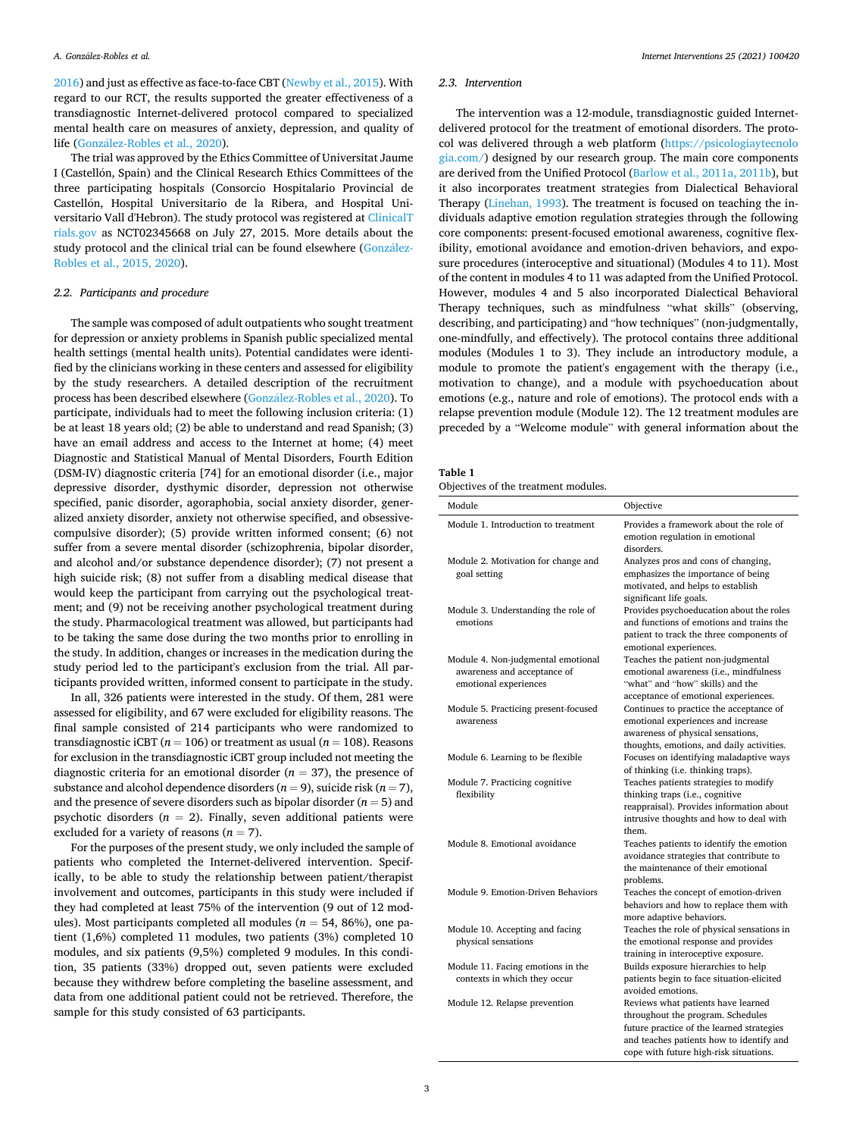<span id="page-2-0"></span>[2016\)](#page-7-0) and just as effective as face-to-face CBT ([Newby et al., 2015\)](#page-7-0). With regard to our RCT, the results supported the greater effectiveness of a transdiagnostic Internet-delivered protocol compared to specialized mental health care on measures of anxiety, depression, and quality of life (González-Robles et al., 2020).

The trial was approved by the Ethics Committee of Universitat Jaume I (Castellón, Spain) and the Clinical Research Ethics Committees of the three participating hospitals (Consorcio Hospitalario Provincial de Castellón, Hospital Universitario de la Ribera, and Hospital Universitario Vall d'Hebron). The study protocol was registered at [ClinicalT](http://ClinicalTrials.gov)  [rials.gov](http://ClinicalTrials.gov) as NCT02345668 on July 27, 2015. More details about the study protocol and the clinical trial can be found elsewhere [\(Gonz](#page-7-0)ález-[Robles et al., 2015, 2020](#page-7-0)).

#### *2.2. Participants and procedure*

The sample was composed of adult outpatients who sought treatment for depression or anxiety problems in Spanish public specialized mental health settings (mental health units). Potential candidates were identified by the clinicians working in these centers and assessed for eligibility by the study researchers. A detailed description of the recruitment process has been described elsewhere (González-Robles et al., 2020). To participate, individuals had to meet the following inclusion criteria: (1) be at least 18 years old; (2) be able to understand and read Spanish; (3) have an email address and access to the Internet at home; (4) meet Diagnostic and Statistical Manual of Mental Disorders, Fourth Edition (DSM-IV) diagnostic criteria [74] for an emotional disorder (i.e., major depressive disorder, dysthymic disorder, depression not otherwise specified, panic disorder, agoraphobia, social anxiety disorder, generalized anxiety disorder, anxiety not otherwise specified, and obsessivecompulsive disorder); (5) provide written informed consent; (6) not suffer from a severe mental disorder (schizophrenia, bipolar disorder, and alcohol and/or substance dependence disorder); (7) not present a high suicide risk; (8) not suffer from a disabling medical disease that would keep the participant from carrying out the psychological treatment; and (9) not be receiving another psychological treatment during the study. Pharmacological treatment was allowed, but participants had to be taking the same dose during the two months prior to enrolling in the study. In addition, changes or increases in the medication during the study period led to the participant's exclusion from the trial. All participants provided written, informed consent to participate in the study.

In all, 326 patients were interested in the study. Of them, 281 were assessed for eligibility, and 67 were excluded for eligibility reasons. The final sample consisted of 214 participants who were randomized to transdiagnostic iCBT ( $n = 106$ ) or treatment as usual ( $n = 108$ ). Reasons for exclusion in the transdiagnostic iCBT group included not meeting the diagnostic criteria for an emotional disorder  $(n = 37)$ , the presence of substance and alcohol dependence disorders  $(n = 9)$ , suicide risk  $(n = 7)$ , and the presence of severe disorders such as bipolar disorder  $(n = 5)$  and psychotic disorders  $(n = 2)$ . Finally, seven additional patients were excluded for a variety of reasons  $(n = 7)$ .

For the purposes of the present study, we only included the sample of patients who completed the Internet-delivered intervention. Specifically, to be able to study the relationship between patient/therapist involvement and outcomes, participants in this study were included if they had completed at least 75% of the intervention (9 out of 12 modules). Most participants completed all modules ( $n = 54, 86\%$ ), one patient (1,6%) completed 11 modules, two patients (3%) completed 10 modules, and six patients (9,5%) completed 9 modules. In this condition, 35 patients (33%) dropped out, seven patients were excluded because they withdrew before completing the baseline assessment, and data from one additional patient could not be retrieved. Therefore, the sample for this study consisted of 63 participants.

## *2.3. Intervention*

The intervention was a 12-module, transdiagnostic guided Internetdelivered protocol for the treatment of emotional disorders. The protocol was delivered through a web platform [\(https://psicologiaytecnolo](https://psicologiaytecnologia.com/)  [gia.com/](https://psicologiaytecnologia.com/)) designed by our research group. The main core components are derived from the Unified Protocol [\(Barlow et al., 2011a, 2011b\)](#page-7-0), but it also incorporates treatment strategies from Dialectical Behavioral Therapy [\(Linehan, 1993](#page-7-0)). The treatment is focused on teaching the individuals adaptive emotion regulation strategies through the following core components: present-focused emotional awareness, cognitive flexibility, emotional avoidance and emotion-driven behaviors, and exposure procedures (interoceptive and situational) (Modules 4 to 11). Most of the content in modules 4 to 11 was adapted from the Unified Protocol. However, modules 4 and 5 also incorporated Dialectical Behavioral Therapy techniques, such as mindfulness "what skills" (observing, describing, and participating) and "how techniques" (non-judgmentally, one-mindfully, and effectively). The protocol contains three additional modules (Modules 1 to 3). They include an introductory module, a module to promote the patient's engagement with the therapy (i.e., motivation to change), and a module with psychoeducation about emotions (e.g., nature and role of emotions). The protocol ends with a relapse prevention module (Module 12). The 12 treatment modules are preceded by a "Welcome module" with general information about the

| Table 1 |  |
|---------|--|
|---------|--|

| Objectives of the treatment modules. |  |  |  |  |
|--------------------------------------|--|--|--|--|
|--------------------------------------|--|--|--|--|

| Module                                                                                     | Objective                                                                                                                                                                                                  |
|--------------------------------------------------------------------------------------------|------------------------------------------------------------------------------------------------------------------------------------------------------------------------------------------------------------|
| Module 1. Introduction to treatment                                                        | Provides a framework about the role of<br>emotion regulation in emotional<br>disorders.                                                                                                                    |
| Module 2. Motivation for change and<br>goal setting                                        | Analyzes pros and cons of changing,<br>emphasizes the importance of being<br>motivated, and helps to establish<br>significant life goals.                                                                  |
| Module 3. Understanding the role of<br>emotions                                            | Provides psychoeducation about the roles<br>and functions of emotions and trains the<br>patient to track the three components of<br>emotional experiences.                                                 |
| Module 4. Non-judgmental emotional<br>awareness and acceptance of<br>emotional experiences | Teaches the patient non-judgmental<br>emotional awareness (i.e., mindfulness<br>"what" and "how" skills) and the<br>acceptance of emotional experiences.                                                   |
| Module 5. Practicing present-focused<br>awareness                                          | Continues to practice the acceptance of<br>emotional experiences and increase<br>awareness of physical sensations,<br>thoughts, emotions, and daily activities.                                            |
| Module 6. Learning to be flexible                                                          | Focuses on identifying maladaptive ways<br>of thinking (i.e. thinking traps).                                                                                                                              |
| Module 7. Practicing cognitive<br>flexibility                                              | Teaches patients strategies to modify<br>thinking traps (i.e., cognitive<br>reappraisal). Provides information about<br>intrusive thoughts and how to deal with<br>them.                                   |
| Module 8. Emotional avoidance                                                              | Teaches patients to identify the emotion<br>avoidance strategies that contribute to<br>the maintenance of their emotional<br>problems.                                                                     |
| Module 9. Emotion-Driven Behaviors                                                         | Teaches the concept of emotion-driven<br>behaviors and how to replace them with<br>more adaptive behaviors.                                                                                                |
| Module 10. Accepting and facing<br>physical sensations                                     | Teaches the role of physical sensations in<br>the emotional response and provides<br>training in interoceptive exposure.                                                                                   |
| Module 11. Facing emotions in the<br>contexts in which they occur                          | Builds exposure hierarchies to help<br>patients begin to face situation-elicited<br>avoided emotions.                                                                                                      |
| Module 12. Relapse prevention                                                              | Reviews what patients have learned<br>throughout the program. Schedules<br>future practice of the learned strategies<br>and teaches patients how to identify and<br>cope with future high-risk situations. |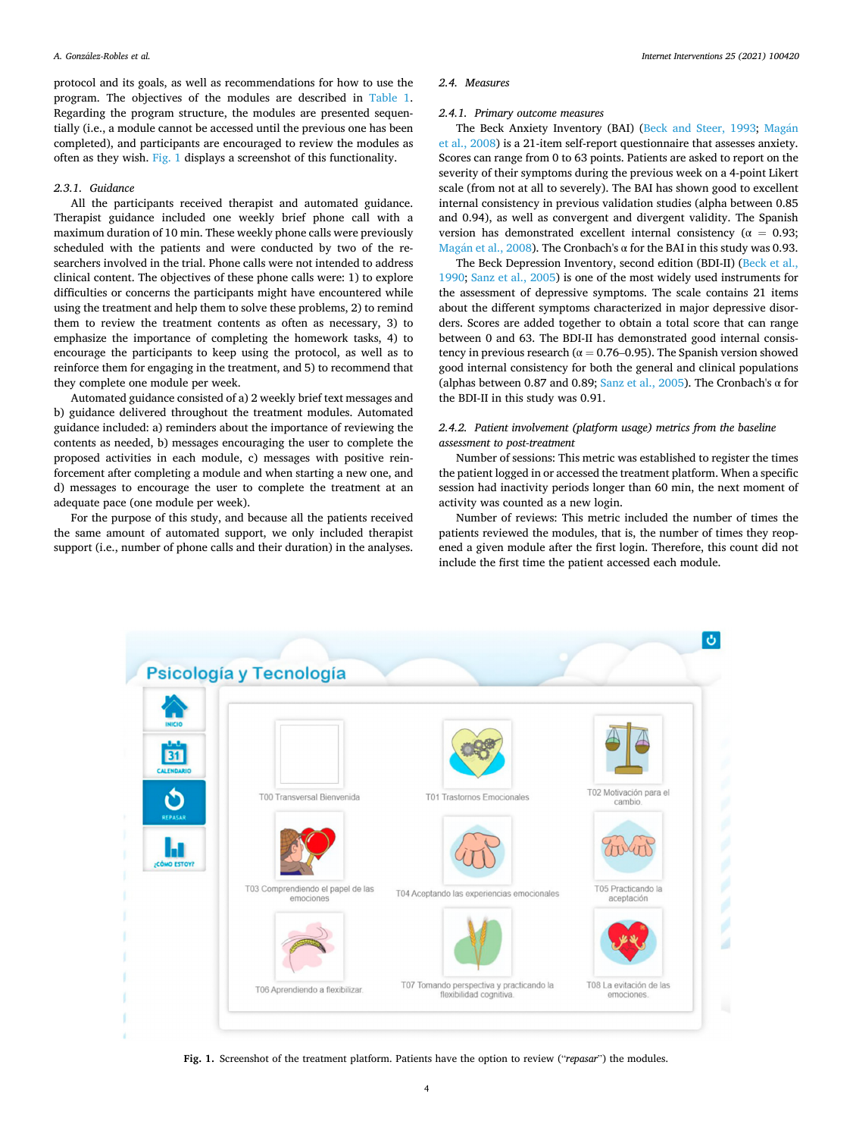protocol and its goals, as well as recommendations for how to use the program. The objectives of the modules are described in [Table 1](#page-2-0). Regarding the program structure, the modules are presented sequentially (i.e., a module cannot be accessed until the previous one has been completed), and participants are encouraged to review the modules as often as they wish. Fig. 1 displays a screenshot of this functionality.

### *2.3.1. Guidance*

All the participants received therapist and automated guidance. Therapist guidance included one weekly brief phone call with a maximum duration of 10 min. These weekly phone calls were previously scheduled with the patients and were conducted by two of the researchers involved in the trial. Phone calls were not intended to address clinical content. The objectives of these phone calls were: 1) to explore difficulties or concerns the participants might have encountered while using the treatment and help them to solve these problems, 2) to remind them to review the treatment contents as often as necessary, 3) to emphasize the importance of completing the homework tasks, 4) to encourage the participants to keep using the protocol, as well as to reinforce them for engaging in the treatment, and 5) to recommend that they complete one module per week.

Automated guidance consisted of a) 2 weekly brief text messages and b) guidance delivered throughout the treatment modules. Automated guidance included: a) reminders about the importance of reviewing the contents as needed, b) messages encouraging the user to complete the proposed activities in each module, c) messages with positive reinforcement after completing a module and when starting a new one, and d) messages to encourage the user to complete the treatment at an adequate pace (one module per week).

For the purpose of this study, and because all the patients received the same amount of automated support, we only included therapist support (i.e., number of phone calls and their duration) in the analyses.

### *2.4. Measures*

# *2.4.1. Primary outcome measures*

The Beck Anxiety Inventory (BAI) ([Beck and Steer, 1993](#page-7-0); Magán [et al., 2008](#page-7-0)) is a 21-item self-report questionnaire that assesses anxiety. Scores can range from 0 to 63 points. Patients are asked to report on the severity of their symptoms during the previous week on a 4-point Likert scale (from not at all to severely). The BAI has shown good to excellent internal consistency in previous validation studies (alpha between 0.85 and 0.94), as well as convergent and divergent validity. The Spanish version has demonstrated excellent internal consistency ( $\alpha = 0.93$ ; Magán et al., 2008). The Cronbach's  $\alpha$  for the BAI in this study was 0.93.

The Beck Depression Inventory, second edition (BDI-II) ([Beck et al.,](#page-7-0)  [1990; Sanz et al., 2005](#page-7-0)) is one of the most widely used instruments for the assessment of depressive symptoms. The scale contains 21 items about the different symptoms characterized in major depressive disorders. Scores are added together to obtain a total score that can range between 0 and 63. The BDI-II has demonstrated good internal consistency in previous research ( $\alpha = 0.76 - 0.95$ ). The Spanish version showed good internal consistency for both the general and clinical populations (alphas between 0.87 and 0.89; [Sanz et al., 2005\)](#page-7-0). The Cronbach's  $\alpha$  for the BDI-II in this study was 0.91.

# *2.4.2. Patient involvement (platform usage) metrics from the baseline assessment to post-treatment*

Number of sessions: This metric was established to register the times the patient logged in or accessed the treatment platform. When a specific session had inactivity periods longer than 60 min, the next moment of activity was counted as a new login.

Number of reviews: This metric included the number of times the patients reviewed the modules, that is, the number of times they reopened a given module after the first login. Therefore, this count did not include the first time the patient accessed each module.



**Fig. 1.** Screenshot of the treatment platform. Patients have the option to review ("*repasar*") the modules.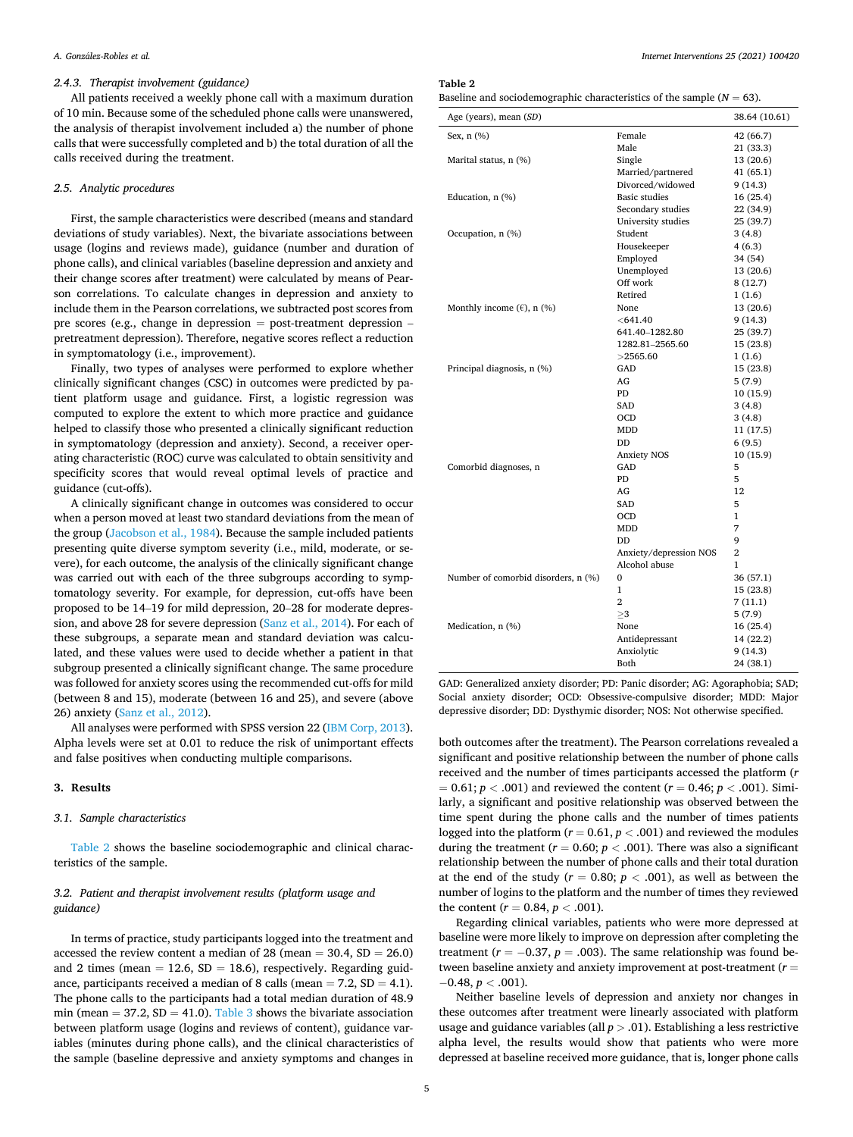# *2.4.3. Therapist involvement (guidance)*

All patients received a weekly phone call with a maximum duration of 10 min. Because some of the scheduled phone calls were unanswered, the analysis of therapist involvement included a) the number of phone calls that were successfully completed and b) the total duration of all the calls received during the treatment.

## *2.5. Analytic procedures*

First, the sample characteristics were described (means and standard deviations of study variables). Next, the bivariate associations between usage (logins and reviews made), guidance (number and duration of phone calls), and clinical variables (baseline depression and anxiety and their change scores after treatment) were calculated by means of Pearson correlations. To calculate changes in depression and anxiety to include them in the Pearson correlations, we subtracted post scores from pre scores (e.g., change in depression = post-treatment depression – pretreatment depression). Therefore, negative scores reflect a reduction in symptomatology (i.e., improvement).

Finally, two types of analyses were performed to explore whether clinically significant changes (CSC) in outcomes were predicted by patient platform usage and guidance. First, a logistic regression was computed to explore the extent to which more practice and guidance helped to classify those who presented a clinically significant reduction in symptomatology (depression and anxiety). Second, a receiver operating characteristic (ROC) curve was calculated to obtain sensitivity and specificity scores that would reveal optimal levels of practice and guidance (cut-offs).

A clinically significant change in outcomes was considered to occur when a person moved at least two standard deviations from the mean of the group ([Jacobson et al., 1984\)](#page-7-0). Because the sample included patients presenting quite diverse symptom severity (i.e., mild, moderate, or severe), for each outcome, the analysis of the clinically significant change was carried out with each of the three subgroups according to symptomatology severity. For example, for depression, cut-offs have been proposed to be 14–19 for mild depression, 20–28 for moderate depression, and above 28 for severe depression [\(Sanz et al., 2014](#page-7-0)). For each of these subgroups, a separate mean and standard deviation was calculated, and these values were used to decide whether a patient in that subgroup presented a clinically significant change. The same procedure was followed for anxiety scores using the recommended cut-offs for mild (between 8 and 15), moderate (between 16 and 25), and severe (above 26) anxiety [\(Sanz et al., 2012](#page-7-0)).

All analyses were performed with SPSS version 22 [\(IBM Corp, 2013](#page-7-0)). Alpha levels were set at 0.01 to reduce the risk of unimportant effects and false positives when conducting multiple comparisons.

## **3. Results**

#### *3.1. Sample characteristics*

Table 2 shows the baseline sociodemographic and clinical characteristics of the sample.

# *3.2. Patient and therapist involvement results (platform usage and guidance)*

In terms of practice, study participants logged into the treatment and accessed the review content a median of 28 (mean  $=$  30.4, SD  $=$  26.0) and 2 times (mean  $= 12.6$ , SD  $= 18.6$ ), respectively. Regarding guidance, participants received a median of 8 calls (mean  $= 7.2$ , SD  $= 4.1$ ). The phone calls to the participants had a total median duration of 48.9 min (mean = 37.2,  $SD = 41.0$ ). [Table 3](#page-5-0) shows the bivariate association between platform usage (logins and reviews of content), guidance variables (minutes during phone calls), and the clinical characteristics of the sample (baseline depressive and anxiety symptoms and changes in

**Table 2** 

| Baseline and sociodemographic characteristics of the sample ( $N = 63$ ). |  |  |
|---------------------------------------------------------------------------|--|--|
|---------------------------------------------------------------------------|--|--|

| Age (years), mean (SD)              |                        | 38.64 (10.61)  |
|-------------------------------------|------------------------|----------------|
| Sex, n (%)                          | Female                 | 42 (66.7)      |
|                                     | Male                   | 21 (33.3)      |
| Marital status, n (%)               | Single                 | 13 (20.6)      |
|                                     | Married/partnered      | 41 (65.1)      |
|                                     | Divorced/widowed       | 9(14.3)        |
| Education, n (%)                    | <b>Basic studies</b>   | 16(25.4)       |
|                                     | Secondary studies      | 22 (34.9)      |
|                                     | University studies     | 25 (39.7)      |
| Occupation, n (%)                   | Student                | 3(4.8)         |
|                                     | Housekeeper            | 4(6.3)         |
|                                     | Employed               | 34 (54)        |
|                                     | Unemployed             | 13 (20.6)      |
|                                     | Off work               | 8(12.7)        |
|                                     | Retired                | 1(1.6)         |
| Monthly income $(\ell)$ , n $(\%)$  | None                   | 13(20.6)       |
|                                     | $<$ 641.40             | 9(14.3)        |
|                                     | 641.40-1282.80         | 25 (39.7)      |
|                                     | 1282.81-2565.60        | 15 (23.8)      |
|                                     | >2565.60               | 1(1.6)         |
| Principal diagnosis, n (%)          | GAD                    | 15 (23.8)      |
|                                     | AG                     | 5(7.9)         |
|                                     | PD                     | 10 (15.9)      |
|                                     | SAD                    | 3(4.8)         |
|                                     | <b>OCD</b>             | 3(4.8)         |
|                                     | MDD                    | 11 (17.5)      |
|                                     | DD                     | 6(9.5)         |
|                                     | <b>Anxiety NOS</b>     | 10 (15.9)      |
| Comorbid diagnoses, n               | GAD                    | 5              |
|                                     | <b>PD</b>              | 5              |
|                                     | AG                     | 12             |
|                                     | <b>SAD</b>             | 5              |
|                                     | OCD                    | 1              |
|                                     | MDD                    | 7              |
|                                     | DD                     | 9              |
|                                     | Anxiety/depression NOS | $\overline{2}$ |
|                                     | Alcohol abuse          | $\mathbf{1}$   |
| Number of comorbid disorders, n (%) | $\Omega$               | 36 (57.1)      |
|                                     | $\mathbf{1}$           | 15 (23.8)      |
|                                     | $\overline{2}$         | 7 (11.1)       |
|                                     | >3                     | 5(7.9)         |
| Medication, n (%)                   | None                   | 16(25.4)       |
|                                     | Antidepressant         | 14 (22.2)      |
|                                     | Anxiolytic             | 9 (14.3)       |
|                                     | <b>Both</b>            | 24 (38.1)      |

GAD: Generalized anxiety disorder; PD: Panic disorder; AG: Agoraphobia; SAD; Social anxiety disorder; OCD: Obsessive-compulsive disorder; MDD: Major depressive disorder; DD: Dysthymic disorder; NOS: Not otherwise specified.

both outcomes after the treatment). The Pearson correlations revealed a significant and positive relationship between the number of phone calls received and the number of times participants accessed the platform (*r*   $= 0.61$ ;  $p < .001$ ) and reviewed the content ( $r = 0.46$ ;  $p < .001$ ). Similarly, a significant and positive relationship was observed between the time spent during the phone calls and the number of times patients logged into the platform  $(r = 0.61, p < .001)$  and reviewed the modules during the treatment ( $r = 0.60$ ;  $p < .001$ ). There was also a significant relationship between the number of phone calls and their total duration at the end of the study ( $r = 0.80$ ;  $p < .001$ ), as well as between the number of logins to the platform and the number of times they reviewed the content  $(r = 0.84, p < .001)$ .

Regarding clinical variables, patients who were more depressed at baseline were more likely to improve on depression after completing the treatment ( $r = -0.37$ ,  $p = .003$ ). The same relationship was found between baseline anxiety and anxiety improvement at post-treatment (*r* = − 0.48, *p <* .001).

Neither baseline levels of depression and anxiety nor changes in these outcomes after treatment were linearly associated with platform usage and guidance variables (all *p >* .01). Establishing a less restrictive alpha level, the results would show that patients who were more depressed at baseline received more guidance, that is, longer phone calls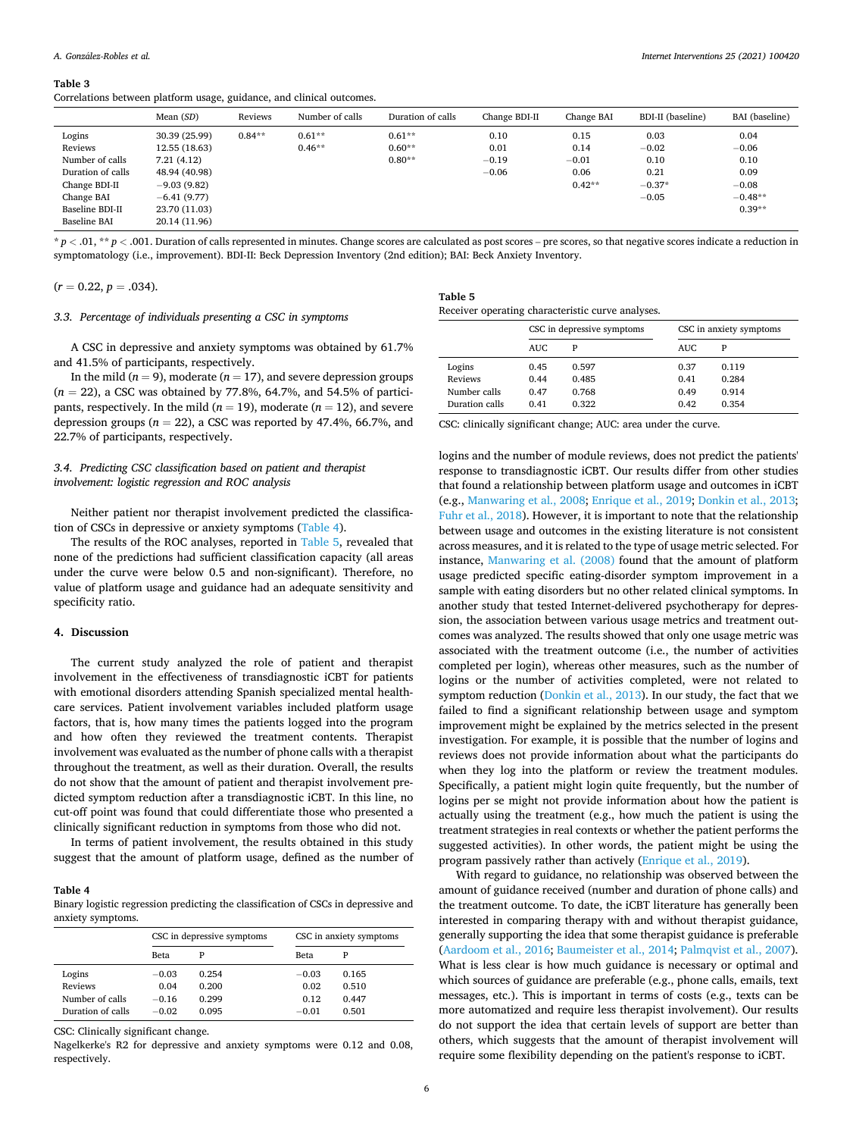<span id="page-5-0"></span>Correlations between platform usage, guidance, and clinical outcomes.

|                   | Mean $(SD)$   | Reviews  | Number of calls | Duration of calls | Change BDI-II | Change BAI | BDI-II (baseline) | BAI (baseline) |
|-------------------|---------------|----------|-----------------|-------------------|---------------|------------|-------------------|----------------|
| Logins            | 30.39 (25.99) | $0.84**$ | $0.61**$        | $0.61**$          | 0.10          | 0.15       | 0.03              | 0.04           |
| Reviews           | 12.55 (18.63) |          | $0.46**$        | $0.60**$          | 0.01          | 0.14       | $-0.02$           | $-0.06$        |
| Number of calls   | 7.21(4.12)    |          |                 | $0.80**$          | $-0.19$       | $-0.01$    | 0.10              | 0.10           |
| Duration of calls | 48.94 (40.98) |          |                 |                   | $-0.06$       | 0.06       | 0.21              | 0.09           |
| Change BDI-II     | $-9.03(9.82)$ |          |                 |                   |               | $0.42**$   | $-0.37*$          | $-0.08$        |
| Change BAI        | $-6.41(9.77)$ |          |                 |                   |               |            | $-0.05$           | $-0.48**$      |
| Baseline BDI-II   | 23.70 (11.03) |          |                 |                   |               |            |                   | $0.39**$       |
| Baseline BAI      | 20.14 (11.96) |          |                 |                   |               |            |                   |                |

 $p < 0.01$ ,  $\pi p$   $\geq 0.001$ . Duration of calls represented in minutes. Change scores are calculated as post scores – pre scores, so that negative scores indicate a reduction in symptomatology (i.e., improvement). BDI-II: Beck Depression Inventory (2nd edition); BAI: Beck Anxiety Inventory.

 $(r = 0.22, p = .034).$ 

#### *3.3. Percentage of individuals presenting a CSC in symptoms*

**Table 5**  Receiver operating characteristic curve analyses.

| A CSC in depressive and anxiety symptoms was obtained by 61.7% |  |
|----------------------------------------------------------------|--|
| and 41.5% of participants, respectively.                       |  |

In the mild  $(n = 9)$ , moderate  $(n = 17)$ , and severe depression groups (*n* = 22), a CSC was obtained by 77.8%, 64.7%, and 54.5% of participants, respectively. In the mild ( $n = 19$ ), moderate ( $n = 12$ ), and severe depression groups  $(n = 22)$ , a CSC was reported by 47.4%, 66.7%, and 22.7% of participants, respectively.

# *3.4. Predicting CSC classification based on patient and therapist involvement: logistic regression and ROC analysis*

Neither patient nor therapist involvement predicted the classification of CSCs in depressive or anxiety symptoms (Table 4).

The results of the ROC analyses, reported in Table 5, revealed that none of the predictions had sufficient classification capacity (all areas under the curve were below 0.5 and non-significant). Therefore, no value of platform usage and guidance had an adequate sensitivity and specificity ratio.

# **4. Discussion**

The current study analyzed the role of patient and therapist involvement in the effectiveness of transdiagnostic iCBT for patients with emotional disorders attending Spanish specialized mental healthcare services. Patient involvement variables included platform usage factors, that is, how many times the patients logged into the program and how often they reviewed the treatment contents. Therapist involvement was evaluated as the number of phone calls with a therapist throughout the treatment, as well as their duration. Overall, the results do not show that the amount of patient and therapist involvement predicted symptom reduction after a transdiagnostic iCBT. In this line, no cut-off point was found that could differentiate those who presented a clinically significant reduction in symptoms from those who did not.

In terms of patient involvement, the results obtained in this study suggest that the amount of platform usage, defined as the number of

#### **Table 4**

Binary logistic regression predicting the classification of CSCs in depressive and anxiety symptoms.

|                   | CSC in depressive symptoms |       | CSC in anxiety symptoms |       |
|-------------------|----------------------------|-------|-------------------------|-------|
|                   | Beta                       | Р     | Beta                    | P     |
| Logins            | $-0.03$                    | 0.254 | $-0.03$                 | 0.165 |
| <b>Reviews</b>    | 0.04                       | 0.200 | 0.02                    | 0.510 |
| Number of calls   | $-0.16$                    | 0.299 | 0.12                    | 0.447 |
| Duration of calls | $-0.02$                    | 0.095 | $-0.01$                 | 0.501 |

CSC: Clinically significant change.

Nagelkerke's R2 for depressive and anxiety symptoms were 0.12 and 0.08, respectively.

|                                   | CSC in depressive symptoms |                         | CSC in anxiety symptoms |                         |  |
|-----------------------------------|----------------------------|-------------------------|-------------------------|-------------------------|--|
|                                   | AUC.                       | P                       | AUC.                    | P                       |  |
| Logins<br>Reviews<br>Number calls | 0.45<br>0.44<br>0.47       | 0.597<br>0.485<br>0.768 | 0.37<br>0.41<br>0.49    | 0.119<br>0.284<br>0.914 |  |
| Duration calls                    | 0.41                       | 0.322                   | 0.42                    | 0.354                   |  |

CSC: clinically significant change; AUC: area under the curve.

logins and the number of module reviews, does not predict the patients' response to transdiagnostic iCBT. Our results differ from other studies that found a relationship between platform usage and outcomes in iCBT (e.g., [Manwaring et al., 2008; Enrique et al., 2019](#page-7-0); [Donkin et al., 2013](#page-7-0); [Fuhr et al., 2018\)](#page-7-0). However, it is important to note that the relationship between usage and outcomes in the existing literature is not consistent across measures, and it is related to the type of usage metric selected. For instance, [Manwaring et al. \(2008\)](#page-7-0) found that the amount of platform usage predicted specific eating-disorder symptom improvement in a sample with eating disorders but no other related clinical symptoms. In another study that tested Internet-delivered psychotherapy for depression, the association between various usage metrics and treatment outcomes was analyzed. The results showed that only one usage metric was associated with the treatment outcome (i.e., the number of activities completed per login), whereas other measures, such as the number of logins or the number of activities completed, were not related to symptom reduction [\(Donkin et al., 2013\)](#page-7-0). In our study, the fact that we failed to find a significant relationship between usage and symptom improvement might be explained by the metrics selected in the present investigation. For example, it is possible that the number of logins and reviews does not provide information about what the participants do when they log into the platform or review the treatment modules. Specifically, a patient might login quite frequently, but the number of logins per se might not provide information about how the patient is actually using the treatment (e.g., how much the patient is using the treatment strategies in real contexts or whether the patient performs the suggested activities). In other words, the patient might be using the program passively rather than actively [\(Enrique et al., 2019\)](#page-7-0).

With regard to guidance, no relationship was observed between the amount of guidance received (number and duration of phone calls) and the treatment outcome. To date, the iCBT literature has generally been interested in comparing therapy with and without therapist guidance, generally supporting the idea that some therapist guidance is preferable ([Aardoom et al., 2016](#page-7-0); [Baumeister et al., 2014; Palmqvist et al., 2007](#page-7-0)). What is less clear is how much guidance is necessary or optimal and which sources of guidance are preferable (e.g., phone calls, emails, text messages, etc.). This is important in terms of costs (e.g., texts can be more automatized and require less therapist involvement). Our results do not support the idea that certain levels of support are better than others, which suggests that the amount of therapist involvement will require some flexibility depending on the patient's response to iCBT.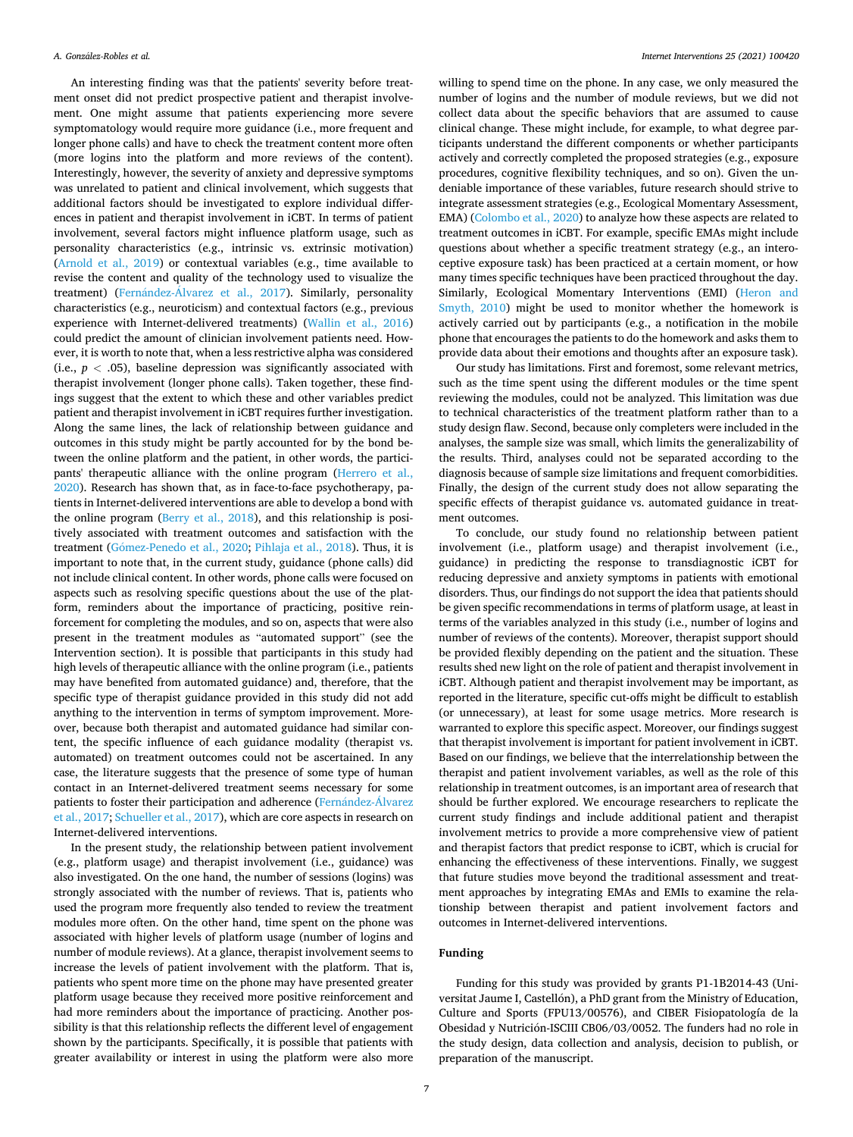An interesting finding was that the patients' severity before treatment onset did not predict prospective patient and therapist involvement. One might assume that patients experiencing more severe symptomatology would require more guidance (i.e., more frequent and longer phone calls) and have to check the treatment content more often (more logins into the platform and more reviews of the content). Interestingly, however, the severity of anxiety and depressive symptoms was unrelated to patient and clinical involvement, which suggests that additional factors should be investigated to explore individual differences in patient and therapist involvement in iCBT. In terms of patient involvement, several factors might influence platform usage, such as personality characteristics (e.g., intrinsic vs. extrinsic motivation) ([Arnold et al., 2019](#page-7-0)) or contextual variables (e.g., time available to revise the content and quality of the technology used to visualize the treatment) (Fernández-Álvarez [et al., 2017\)](#page-7-0). Similarly, personality characteristics (e.g., neuroticism) and contextual factors (e.g., previous experience with Internet-delivered treatments) ([Wallin et al., 2016\)](#page-8-0) could predict the amount of clinician involvement patients need. However, it is worth to note that, when a less restrictive alpha was considered (i.e.,  $p < .05$ ), baseline depression was significantly associated with therapist involvement (longer phone calls). Taken together, these findings suggest that the extent to which these and other variables predict patient and therapist involvement in iCBT requires further investigation. Along the same lines, the lack of relationship between guidance and outcomes in this study might be partly accounted for by the bond between the online platform and the patient, in other words, the participants' therapeutic alliance with the online program ([Herrero et al.,](#page-7-0)  [2020\)](#page-7-0). Research has shown that, as in face-to-face psychotherapy, patients in Internet-delivered interventions are able to develop a bond with the online program [\(Berry et al., 2018](#page-7-0)), and this relationship is positively associated with treatment outcomes and satisfaction with the treatment (Gómez-Penedo et al., 2020; [Pihlaja et al., 2018\)](#page-7-0). Thus, it is important to note that, in the current study, guidance (phone calls) did not include clinical content. In other words, phone calls were focused on aspects such as resolving specific questions about the use of the platform, reminders about the importance of practicing, positive reinforcement for completing the modules, and so on, aspects that were also present in the treatment modules as "automated support" (see the Intervention section). It is possible that participants in this study had high levels of therapeutic alliance with the online program (i.e., patients may have benefited from automated guidance) and, therefore, that the specific type of therapist guidance provided in this study did not add anything to the intervention in terms of symptom improvement. Moreover, because both therapist and automated guidance had similar content, the specific influence of each guidance modality (therapist vs. automated) on treatment outcomes could not be ascertained. In any case, the literature suggests that the presence of some type of human contact in an Internet-delivered treatment seems necessary for some patients to foster their participation and adherence (Fernández-Álvarez [et al., 2017](#page-7-0); [Schueller et al., 2017](#page-7-0)), which are core aspects in research on Internet-delivered interventions.

In the present study, the relationship between patient involvement (e.g., platform usage) and therapist involvement (i.e., guidance) was also investigated. On the one hand, the number of sessions (logins) was strongly associated with the number of reviews. That is, patients who used the program more frequently also tended to review the treatment modules more often. On the other hand, time spent on the phone was associated with higher levels of platform usage (number of logins and number of module reviews). At a glance, therapist involvement seems to increase the levels of patient involvement with the platform. That is, patients who spent more time on the phone may have presented greater platform usage because they received more positive reinforcement and had more reminders about the importance of practicing. Another possibility is that this relationship reflects the different level of engagement shown by the participants. Specifically, it is possible that patients with greater availability or interest in using the platform were also more

willing to spend time on the phone. In any case, we only measured the number of logins and the number of module reviews, but we did not collect data about the specific behaviors that are assumed to cause clinical change. These might include, for example, to what degree participants understand the different components or whether participants actively and correctly completed the proposed strategies (e.g., exposure procedures, cognitive flexibility techniques, and so on). Given the undeniable importance of these variables, future research should strive to integrate assessment strategies (e.g., Ecological Momentary Assessment, EMA) [\(Colombo et al., 2020](#page-7-0)) to analyze how these aspects are related to treatment outcomes in iCBT. For example, specific EMAs might include questions about whether a specific treatment strategy (e.g., an interoceptive exposure task) has been practiced at a certain moment, or how many times specific techniques have been practiced throughout the day. Similarly, Ecological Momentary Interventions (EMI) ([Heron and](#page-7-0)  [Smyth, 2010](#page-7-0)) might be used to monitor whether the homework is actively carried out by participants (e.g., a notification in the mobile phone that encourages the patients to do the homework and asks them to provide data about their emotions and thoughts after an exposure task).

Our study has limitations. First and foremost, some relevant metrics, such as the time spent using the different modules or the time spent reviewing the modules, could not be analyzed. This limitation was due to technical characteristics of the treatment platform rather than to a study design flaw. Second, because only completers were included in the analyses, the sample size was small, which limits the generalizability of the results. Third, analyses could not be separated according to the diagnosis because of sample size limitations and frequent comorbidities. Finally, the design of the current study does not allow separating the specific effects of therapist guidance vs. automated guidance in treatment outcomes.

To conclude, our study found no relationship between patient involvement (i.e., platform usage) and therapist involvement (i.e., guidance) in predicting the response to transdiagnostic iCBT for reducing depressive and anxiety symptoms in patients with emotional disorders. Thus, our findings do not support the idea that patients should be given specific recommendations in terms of platform usage, at least in terms of the variables analyzed in this study (i.e., number of logins and number of reviews of the contents). Moreover, therapist support should be provided flexibly depending on the patient and the situation. These results shed new light on the role of patient and therapist involvement in iCBT. Although patient and therapist involvement may be important, as reported in the literature, specific cut-offs might be difficult to establish (or unnecessary), at least for some usage metrics. More research is warranted to explore this specific aspect. Moreover, our findings suggest that therapist involvement is important for patient involvement in iCBT. Based on our findings, we believe that the interrelationship between the therapist and patient involvement variables, as well as the role of this relationship in treatment outcomes, is an important area of research that should be further explored. We encourage researchers to replicate the current study findings and include additional patient and therapist involvement metrics to provide a more comprehensive view of patient and therapist factors that predict response to iCBT, which is crucial for enhancing the effectiveness of these interventions. Finally, we suggest that future studies move beyond the traditional assessment and treatment approaches by integrating EMAs and EMIs to examine the relationship between therapist and patient involvement factors and outcomes in Internet-delivered interventions.

## **Funding**

Funding for this study was provided by grants P1-1B2014-43 (Universitat Jaume I, Castellón), a PhD grant from the Ministry of Education, Culture and Sports (FPU13/00576), and CIBER Fisiopatología de la Obesidad y Nutrición-ISCIII CB06/03/0052. The funders had no role in the study design, data collection and analysis, decision to publish, or preparation of the manuscript.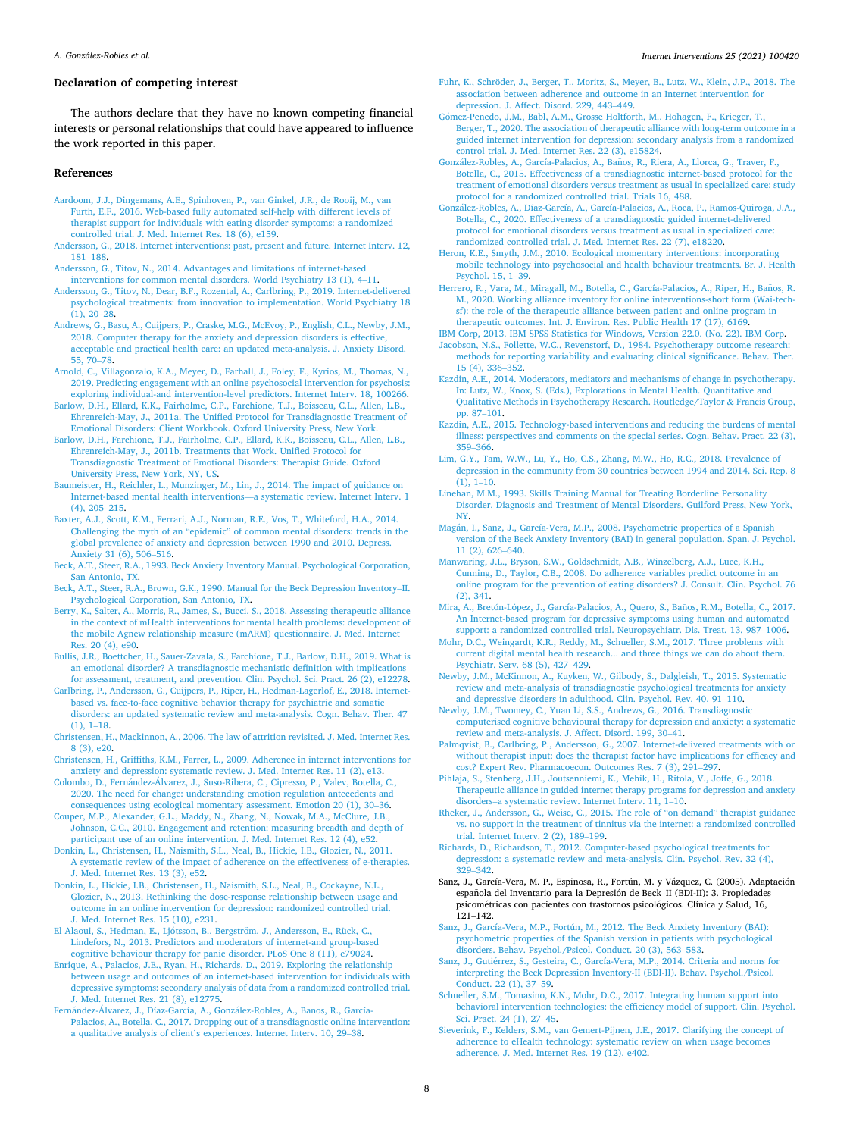#### *Internet Interventions 25 (2021) 100420*

## <span id="page-7-0"></span>**Declaration of competing interest**

The authors declare that they have no known competing financial interests or personal relationships that could have appeared to influence the work reported in this paper.

### **References**

- [Aardoom, J.J., Dingemans, A.E., Spinhoven, P., van Ginkel, J.R., de Rooij, M., van](http://refhub.elsevier.com/S2214-7829(21)00060-9/rf0005) [Furth, E.F., 2016. Web-based fully automated self-help with different levels of](http://refhub.elsevier.com/S2214-7829(21)00060-9/rf0005)  [therapist support for individuals with eating disorder symptoms: a randomized](http://refhub.elsevier.com/S2214-7829(21)00060-9/rf0005)  [controlled trial. J. Med. Internet Res. 18 \(6\), e159.](http://refhub.elsevier.com/S2214-7829(21)00060-9/rf0005)
- [Andersson, G., 2018. Internet interventions: past, present and future. Internet Interv. 12,](http://refhub.elsevier.com/S2214-7829(21)00060-9/rf0010)  181–[188](http://refhub.elsevier.com/S2214-7829(21)00060-9/rf0010).

[Andersson, G., Titov, N., 2014. Advantages and limitations of internet-based](http://refhub.elsevier.com/S2214-7829(21)00060-9/rf0015) 

[interventions for common mental disorders. World Psychiatry 13 \(1\), 4](http://refhub.elsevier.com/S2214-7829(21)00060-9/rf0015)–11. [Andersson, G., Titov, N., Dear, B.F., Rozental, A., Carlbring, P., 2019. Internet-delivered](http://refhub.elsevier.com/S2214-7829(21)00060-9/rf0020)  [psychological treatments: from innovation to implementation. World Psychiatry 18](http://refhub.elsevier.com/S2214-7829(21)00060-9/rf0020)  [\(1\), 20](http://refhub.elsevier.com/S2214-7829(21)00060-9/rf0020)–28.

- [Andrews, G., Basu, A., Cuijpers, P., Craske, M.G., McEvoy, P., English, C.L., Newby, J.M.,](http://refhub.elsevier.com/S2214-7829(21)00060-9/rf0025)  [2018. Computer therapy for the anxiety and depression disorders is effective,](http://refhub.elsevier.com/S2214-7829(21)00060-9/rf0025)  [acceptable and practical health care: an updated meta-analysis. J. Anxiety Disord.](http://refhub.elsevier.com/S2214-7829(21)00060-9/rf0025)  [55, 70](http://refhub.elsevier.com/S2214-7829(21)00060-9/rf0025)–78.
- [Arnold, C., Villagonzalo, K.A., Meyer, D., Farhall, J., Foley, F., Kyrios, M., Thomas, N.,](http://refhub.elsevier.com/S2214-7829(21)00060-9/rf0030)  [2019. Predicting engagement with an online psychosocial intervention for psychosis:](http://refhub.elsevier.com/S2214-7829(21)00060-9/rf0030)  [exploring individual-and intervention-level predictors. Internet Interv. 18, 100266](http://refhub.elsevier.com/S2214-7829(21)00060-9/rf0030).

[Barlow, D.H., Ellard, K.K., Fairholme, C.P., Farchione, T.J., Boisseau, C.L., Allen, L.B.,](http://refhub.elsevier.com/S2214-7829(21)00060-9/rf0035)  [Ehrenreich-May, J., 2011a. The Unified Protocol for Transdiagnostic Treatment of](http://refhub.elsevier.com/S2214-7829(21)00060-9/rf0035)  [Emotional Disorders: Client Workbook. Oxford University Press, New York](http://refhub.elsevier.com/S2214-7829(21)00060-9/rf0035).

[Barlow, D.H., Farchione, T.J., Fairholme, C.P., Ellard, K.K., Boisseau, C.L., Allen, L.B.,](http://refhub.elsevier.com/S2214-7829(21)00060-9/rf0040)  [Ehrenreich-May, J., 2011b. Treatments that Work. Unified Protocol for](http://refhub.elsevier.com/S2214-7829(21)00060-9/rf0040) [Transdiagnostic Treatment of Emotional Disorders: Therapist Guide. Oxford](http://refhub.elsevier.com/S2214-7829(21)00060-9/rf0040)  [University Press, New York, NY, US.](http://refhub.elsevier.com/S2214-7829(21)00060-9/rf0040)

- [Baumeister, H., Reichler, L., Munzinger, M., Lin, J., 2014. The impact of guidance on](http://refhub.elsevier.com/S2214-7829(21)00060-9/rf0045)  [Internet-based mental health interventions](http://refhub.elsevier.com/S2214-7829(21)00060-9/rf0045)—a systematic review. Internet Interv. 1 [\(4\), 205](http://refhub.elsevier.com/S2214-7829(21)00060-9/rf0045)–215.
- [Baxter, A.J., Scott, K.M., Ferrari, A.J., Norman, R.E., Vos, T., Whiteford, H.A., 2014.](http://refhub.elsevier.com/S2214-7829(21)00060-9/rf0050) Challenging the myth of an "epidemic" [of common mental disorders: trends in the](http://refhub.elsevier.com/S2214-7829(21)00060-9/rf0050) [global prevalence of anxiety and depression between 1990 and 2010. Depress.](http://refhub.elsevier.com/S2214-7829(21)00060-9/rf0050)  [Anxiety 31 \(6\), 506](http://refhub.elsevier.com/S2214-7829(21)00060-9/rf0050)–516.
- [Beck, A.T., Steer, R.A., 1993. Beck Anxiety Inventory Manual. Psychological Corporation,](http://refhub.elsevier.com/S2214-7829(21)00060-9/rf0055)  [San Antonio, TX](http://refhub.elsevier.com/S2214-7829(21)00060-9/rf0055).

[Beck, A.T., Steer, R.A., Brown, G.K., 1990. Manual for the Beck Depression Inventory](http://refhub.elsevier.com/S2214-7829(21)00060-9/rf0060)–II. [Psychological Corporation, San Antonio, TX.](http://refhub.elsevier.com/S2214-7829(21)00060-9/rf0060)

- [Berry, K., Salter, A., Morris, R., James, S., Bucci, S., 2018. Assessing therapeutic alliance](http://refhub.elsevier.com/S2214-7829(21)00060-9/rf0065)  [in the context of mHealth interventions for mental health problems: development of](http://refhub.elsevier.com/S2214-7829(21)00060-9/rf0065)  [the mobile Agnew relationship measure \(mARM\) questionnaire. J. Med. Internet](http://refhub.elsevier.com/S2214-7829(21)00060-9/rf0065) [Res. 20 \(4\), e90](http://refhub.elsevier.com/S2214-7829(21)00060-9/rf0065).
- [Bullis, J.R., Boettcher, H., Sauer-Zavala, S., Farchione, T.J., Barlow, D.H., 2019. What is](http://refhub.elsevier.com/S2214-7829(21)00060-9/rf0070)  [an emotional disorder? A transdiagnostic mechanistic definition with implications](http://refhub.elsevier.com/S2214-7829(21)00060-9/rf0070)  [for assessment, treatment, and prevention. Clin. Psychol. Sci. Pract. 26 \(2\), e12278.](http://refhub.elsevier.com/S2214-7829(21)00060-9/rf0070)
- Carlbring, P., Andersson, G., Cuijpers, P., Riper, H., Hedman-Lagerlöf, E., 2018. Internet[based vs. face-to-face cognitive behavior therapy for psychiatric and somatic](http://refhub.elsevier.com/S2214-7829(21)00060-9/rf0075) [disorders: an updated systematic review and meta-analysis. Cogn. Behav. Ther. 47](http://refhub.elsevier.com/S2214-7829(21)00060-9/rf0075)
- [\(1\), 1](http://refhub.elsevier.com/S2214-7829(21)00060-9/rf0075)–18. [Christensen, H., Mackinnon, A., 2006. The law of attrition revisited. J. Med. Internet Res.](http://refhub.elsevier.com/S2214-7829(21)00060-9/rf0080)  [8 \(3\), e20.](http://refhub.elsevier.com/S2214-7829(21)00060-9/rf0080)

[Christensen, H., Griffiths, K.M., Farrer, L., 2009. Adherence in internet interventions for](http://refhub.elsevier.com/S2214-7829(21)00060-9/rf0085)  [anxiety and depression: systematic review. J. Med. Internet Res. 11 \(2\), e13.](http://refhub.elsevier.com/S2214-7829(21)00060-9/rf0085)

Colombo, D., Fernández-Álvarez, [J., Suso-Ribera, C., Cipresso, P., Valev, Botella, C.,](http://refhub.elsevier.com/S2214-7829(21)00060-9/rf0090) [2020. The need for change: understanding emotion regulation antecedents and](http://refhub.elsevier.com/S2214-7829(21)00060-9/rf0090) [consequences using ecological momentary assessment. Emotion 20 \(1\), 30](http://refhub.elsevier.com/S2214-7829(21)00060-9/rf0090)–36.

[Couper, M.P., Alexander, G.L., Maddy, N., Zhang, N., Nowak, M.A., McClure, J.B.,](http://refhub.elsevier.com/S2214-7829(21)00060-9/rf0095)  [Johnson, C.C., 2010. Engagement and retention: measuring breadth and depth of](http://refhub.elsevier.com/S2214-7829(21)00060-9/rf0095) [participant use of an online intervention. J. Med. Internet Res. 12 \(4\), e52](http://refhub.elsevier.com/S2214-7829(21)00060-9/rf0095).

[Donkin, L., Christensen, H., Naismith, S.L., Neal, B., Hickie, I.B., Glozier, N., 2011.](http://refhub.elsevier.com/S2214-7829(21)00060-9/rf0100) [A systematic review of the impact of adherence on the effectiveness of e-therapies.](http://refhub.elsevier.com/S2214-7829(21)00060-9/rf0100) [J. Med. Internet Res. 13 \(3\), e52.](http://refhub.elsevier.com/S2214-7829(21)00060-9/rf0100)

[Donkin, L., Hickie, I.B., Christensen, H., Naismith, S.L., Neal, B., Cockayne, N.L.,](http://refhub.elsevier.com/S2214-7829(21)00060-9/rf0105) [Glozier, N., 2013. Rethinking the dose-response relationship between usage and](http://refhub.elsevier.com/S2214-7829(21)00060-9/rf0105)  [outcome in an online intervention for depression: randomized controlled trial.](http://refhub.elsevier.com/S2214-7829(21)00060-9/rf0105) [J. Med. Internet Res. 15 \(10\), e231](http://refhub.elsevier.com/S2214-7829(21)00060-9/rf0105).

El Alaoui, S., Hedman, E., Ljótsson, B., Bergström, J., Andersson, E., Rück, C., [Lindefors, N., 2013. Predictors and moderators of internet-and group-based](http://refhub.elsevier.com/S2214-7829(21)00060-9/rf0110)  [cognitive behaviour therapy for panic disorder. PLoS One 8 \(11\), e79024.](http://refhub.elsevier.com/S2214-7829(21)00060-9/rf0110)

[Enrique, A., Palacios, J.E., Ryan, H., Richards, D., 2019. Exploring the relationship](http://refhub.elsevier.com/S2214-7829(21)00060-9/rf0115) [between usage and outcomes of an internet-based intervention for individuals with](http://refhub.elsevier.com/S2214-7829(21)00060-9/rf0115)  [depressive symptoms: secondary analysis of data from a randomized controlled trial.](http://refhub.elsevier.com/S2214-7829(21)00060-9/rf0115)  [J. Med. Internet Res. 21 \(8\), e12775.](http://refhub.elsevier.com/S2214-7829(21)00060-9/rf0115)

Fernández-Álvarez, J., Díaz-García, A., González-Robles, A., Baños, R., García-[Palacios, A., Botella, C., 2017. Dropping out of a transdiagnostic online intervention:](http://refhub.elsevier.com/S2214-7829(21)00060-9/rf0120)  a qualitative analysis of client'[s experiences. Internet Interv. 10, 29](http://refhub.elsevier.com/S2214-7829(21)00060-9/rf0120)–38.

Fuhr, K., Schröder, [J., Berger, T., Moritz, S., Meyer, B., Lutz, W., Klein, J.P., 2018. The](http://refhub.elsevier.com/S2214-7829(21)00060-9/rf0125) [association between adherence and outcome in an Internet intervention for](http://refhub.elsevier.com/S2214-7829(21)00060-9/rf0125)  [depression. J. Affect. Disord. 229, 443](http://refhub.elsevier.com/S2214-7829(21)00060-9/rf0125)–449.

Gómez-Penedo, J.M., Babl, A.M., Grosse Holtforth, M., Hohagen, F., Krieger, T., [Berger, T., 2020. The association of therapeutic alliance with long-term outcome in a](http://refhub.elsevier.com/S2214-7829(21)00060-9/rf0130)  [guided internet intervention for depression: secondary analysis from a randomized](http://refhub.elsevier.com/S2214-7829(21)00060-9/rf0130)  [control trial. J. Med. Internet Res. 22 \(3\), e15824.](http://refhub.elsevier.com/S2214-7829(21)00060-9/rf0130)

González-Robles, A., García-Palacios, A., Baños, [R., Riera, A., Llorca, G., Traver, F.,](http://refhub.elsevier.com/S2214-7829(21)00060-9/rf0135) [Botella, C., 2015. Effectiveness of a transdiagnostic internet-based protocol for the](http://refhub.elsevier.com/S2214-7829(21)00060-9/rf0135)  [treatment of emotional disorders versus treatment as usual in specialized care: study](http://refhub.elsevier.com/S2214-7829(21)00060-9/rf0135)  [protocol for a randomized controlled trial. Trials 16, 488.](http://refhub.elsevier.com/S2214-7829(21)00060-9/rf0135)

González-Robles, A., Díaz-García, A., García-Palacios, A., Roca, P., Ramos-Quiroga, J.A., [Botella, C., 2020. Effectiveness of a transdiagnostic guided internet-delivered](http://refhub.elsevier.com/S2214-7829(21)00060-9/rf0140)  [protocol for emotional disorders versus treatment as usual in specialized care:](http://refhub.elsevier.com/S2214-7829(21)00060-9/rf0140) [randomized controlled trial. J. Med. Internet Res. 22 \(7\), e18220.](http://refhub.elsevier.com/S2214-7829(21)00060-9/rf0140)

[Heron, K.E., Smyth, J.M., 2010. Ecological momentary interventions: incorporating](http://refhub.elsevier.com/S2214-7829(21)00060-9/rf0145) [mobile technology into psychosocial and health behaviour treatments. Br. J. Health](http://refhub.elsevier.com/S2214-7829(21)00060-9/rf0145)  [Psychol. 15, 1](http://refhub.elsevier.com/S2214-7829(21)00060-9/rf0145)–39.

Herrero, R., Vara, M., Miragall, M., Botella, C., García-Palacios, A., Riper, H., Baños, R. [M., 2020. Working alliance inventory for online interventions-short form \(Wai-tech](http://refhub.elsevier.com/S2214-7829(21)00060-9/rf0150)[sf\): the role of the therapeutic alliance between patient and online program in](http://refhub.elsevier.com/S2214-7829(21)00060-9/rf0150) [therapeutic outcomes. Int. J. Environ. Res. Public Health 17 \(17\), 6169](http://refhub.elsevier.com/S2214-7829(21)00060-9/rf0150).

[IBM Corp, 2013. IBM SPSS Statistics for Windows, Version 22.0. \(No. 22\). IBM Corp.](http://refhub.elsevier.com/S2214-7829(21)00060-9/rf0155)

[Jacobson, N.S., Follette, W.C., Revenstorf, D., 1984. Psychotherapy outcome research:](http://refhub.elsevier.com/S2214-7829(21)00060-9/rf0160) [methods for reporting variability and evaluating clinical significance. Behav. Ther.](http://refhub.elsevier.com/S2214-7829(21)00060-9/rf0160)  [15 \(4\), 336](http://refhub.elsevier.com/S2214-7829(21)00060-9/rf0160)–352.

- [Kazdin, A.E., 2014. Moderators, mediators and mechanisms of change in psychotherapy.](http://refhub.elsevier.com/S2214-7829(21)00060-9/rf0165)  [In: Lutz, W., Knox, S. \(Eds.\), Explorations in Mental Health. Quantitative and](http://refhub.elsevier.com/S2214-7829(21)00060-9/rf0165) [Qualitative Methods in Psychotherapy Research. Routledge/Taylor](http://refhub.elsevier.com/S2214-7829(21)00060-9/rf0165) & Francis Group, [pp. 87](http://refhub.elsevier.com/S2214-7829(21)00060-9/rf0165)–101.
- [Kazdin, A.E., 2015. Technology-based interventions and reducing the burdens of mental](http://refhub.elsevier.com/S2214-7829(21)00060-9/rf0170)  [illness: perspectives and comments on the special series. Cogn. Behav. Pract. 22 \(3\),](http://refhub.elsevier.com/S2214-7829(21)00060-9/rf0170)  359–[366](http://refhub.elsevier.com/S2214-7829(21)00060-9/rf0170).
- [Lim, G.Y., Tam, W.W., Lu, Y., Ho, C.S., Zhang, M.W., Ho, R.C., 2018. Prevalence of](http://refhub.elsevier.com/S2214-7829(21)00060-9/rf0180) [depression in the community from 30 countries between 1994 and 2014. Sci. Rep. 8](http://refhub.elsevier.com/S2214-7829(21)00060-9/rf0180)  [\(1\), 1](http://refhub.elsevier.com/S2214-7829(21)00060-9/rf0180)–10.
- [Linehan, M.M., 1993. Skills Training Manual for Treating Borderline Personality](http://refhub.elsevier.com/S2214-7829(21)00060-9/rf0185)  [Disorder. Diagnosis and Treatment of Mental Disorders. Guilford Press, New York,](http://refhub.elsevier.com/S2214-7829(21)00060-9/rf0185) [NY](http://refhub.elsevier.com/S2214-7829(21)00060-9/rf0185).

Magán, I., Sanz, J., García-Vera, M.P., 2008. Psychometric properties of a Spanish [version of the Beck Anxiety Inventory \(BAI\) in general population. Span. J. Psychol.](http://refhub.elsevier.com/S2214-7829(21)00060-9/rf0190)  [11 \(2\), 626](http://refhub.elsevier.com/S2214-7829(21)00060-9/rf0190)–640.

[Manwaring, J.L., Bryson, S.W., Goldschmidt, A.B., Winzelberg, A.J., Luce, K.H.,](http://refhub.elsevier.com/S2214-7829(21)00060-9/rf0195)  [Cunning, D., Taylor, C.B., 2008. Do adherence variables predict outcome in an](http://refhub.elsevier.com/S2214-7829(21)00060-9/rf0195)  [online program for the prevention of eating disorders? J. Consult. Clin. Psychol. 76](http://refhub.elsevier.com/S2214-7829(21)00060-9/rf0195)  [\(2\), 341.](http://refhub.elsevier.com/S2214-7829(21)00060-9/rf0195)

Mira, A., Bretón-López, J., García-Palacios, A., Quero, S., Baños, R.M., Botella, C., 2017. [An Internet-based program for depressive symptoms using human and automated](http://refhub.elsevier.com/S2214-7829(21)00060-9/rf0200) [support: a randomized controlled trial. Neuropsychiatr. Dis. Treat. 13, 987](http://refhub.elsevier.com/S2214-7829(21)00060-9/rf0200)–1006.

- [Mohr, D.C., Weingardt, K.R., Reddy, M., Schueller, S.M., 2017. Three problems with](http://refhub.elsevier.com/S2214-7829(21)00060-9/rf0205)  [current digital mental health research... and three things we can do about them.](http://refhub.elsevier.com/S2214-7829(21)00060-9/rf0205) [Psychiatr. Serv. 68 \(5\), 427](http://refhub.elsevier.com/S2214-7829(21)00060-9/rf0205)–429.
- [Newby, J.M., McKinnon, A., Kuyken, W., Gilbody, S., Dalgleish, T., 2015. Systematic](http://refhub.elsevier.com/S2214-7829(21)00060-9/rf0210) [review and meta-analysis of transdiagnostic psychological treatments for anxiety](http://refhub.elsevier.com/S2214-7829(21)00060-9/rf0210)  [and depressive disorders in adulthood. Clin. Psychol. Rev. 40, 91](http://refhub.elsevier.com/S2214-7829(21)00060-9/rf0210)–110.

[Newby, J.M., Twomey, C., Yuan Li, S.S., Andrews, G., 2016. Transdiagnostic](http://refhub.elsevier.com/S2214-7829(21)00060-9/rf0220)  [computerised cognitive behavioural therapy for depression and anxiety: a systematic](http://refhub.elsevier.com/S2214-7829(21)00060-9/rf0220)  [review and meta-analysis. J. Affect. Disord. 199, 30](http://refhub.elsevier.com/S2214-7829(21)00060-9/rf0220)–41.

- [Palmqvist, B., Carlbring, P., Andersson, G., 2007. Internet-delivered treatments with or](http://refhub.elsevier.com/S2214-7829(21)00060-9/rf0225) [without therapist input: does the therapist factor have implications for efficacy and](http://refhub.elsevier.com/S2214-7829(21)00060-9/rf0225)  [cost? Expert Rev. Pharmacoecon. Outcomes Res. 7 \(3\), 291](http://refhub.elsevier.com/S2214-7829(21)00060-9/rf0225)–297.
- [Pihlaja, S., Stenberg, J.H., Joutsenniemi, K., Mehik, H., Ritola, V., Joffe, G., 2018.](http://refhub.elsevier.com/S2214-7829(21)00060-9/rf0230) [Therapeutic alliance in guided internet therapy programs for depression and anxiety](http://refhub.elsevier.com/S2214-7829(21)00060-9/rf0230)  disorders–[a systematic review. Internet Interv. 11, 1](http://refhub.elsevier.com/S2214-7829(21)00060-9/rf0230)–10.
- [Rheker, J., Andersson, G., Weise, C., 2015. The role of](http://refhub.elsevier.com/S2214-7829(21)00060-9/rf0235) "on demand" therapist guidance [vs. no support in the treatment of tinnitus via the internet: a randomized controlled](http://refhub.elsevier.com/S2214-7829(21)00060-9/rf0235)  [trial. Internet Interv. 2 \(2\), 189](http://refhub.elsevier.com/S2214-7829(21)00060-9/rf0235)–199.

[Richards, D., Richardson, T., 2012. Computer-based psychological treatments for](http://refhub.elsevier.com/S2214-7829(21)00060-9/rf0240) [depression: a systematic review and meta-analysis. Clin. Psychol. Rev. 32 \(4\),](http://refhub.elsevier.com/S2214-7829(21)00060-9/rf0240) 329–[342](http://refhub.elsevier.com/S2214-7829(21)00060-9/rf0240).

Sanz, J., García-Vera, M. P., Espinosa, R., Fortún, M. y Vázquez, C. (2005). Adaptación española del Inventario para la Depresión de Beck-II (BDI-II): 3. Propiedades psicométricas con pacientes con trastornos psicológicos. Clínica y Salud, 16, 121–142.

[Sanz, J., García-Vera, M.P., Fortún, M., 2012. The Beck Anxiety Inventory \(BAI\):](http://refhub.elsevier.com/S2214-7829(21)00060-9/rf0245) [psychometric properties of the Spanish version in patients with psychological](http://refhub.elsevier.com/S2214-7829(21)00060-9/rf0245)  [disorders. Behav. Psychol./Psicol. Conduct. 20 \(3\), 563](http://refhub.elsevier.com/S2214-7829(21)00060-9/rf0245)–583.

- Sanz, J., Gutiérrez, S., Gesteira, C., García-Vera, M.P., 2014. Criteria and norms for [interpreting the Beck Depression Inventory-II \(BDI-II\). Behav. Psychol./Psicol.](http://refhub.elsevier.com/S2214-7829(21)00060-9/rf0250)  [Conduct. 22 \(1\), 37](http://refhub.elsevier.com/S2214-7829(21)00060-9/rf0250)–59.
- [Schueller, S.M., Tomasino, K.N., Mohr, D.C., 2017. Integrating human support into](http://refhub.elsevier.com/S2214-7829(21)00060-9/rf0255)  [behavioral intervention technologies: the efficiency model of support. Clin. Psychol.](http://refhub.elsevier.com/S2214-7829(21)00060-9/rf0255)  [Sci. Pract. 24 \(1\), 27](http://refhub.elsevier.com/S2214-7829(21)00060-9/rf0255)–45.

[Sieverink, F., Kelders, S.M., van Gemert-Pijnen, J.E., 2017. Clarifying the concept of](http://refhub.elsevier.com/S2214-7829(21)00060-9/rf0265) [adherence to eHealth technology: systematic review on when usage becomes](http://refhub.elsevier.com/S2214-7829(21)00060-9/rf0265) [adherence. J. Med. Internet Res. 19 \(12\), e402.](http://refhub.elsevier.com/S2214-7829(21)00060-9/rf0265)